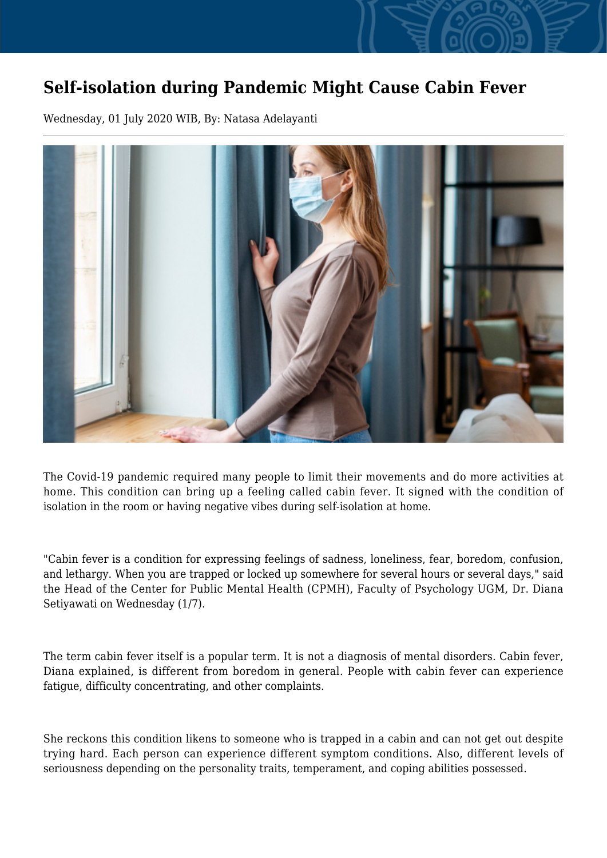## **Self-isolation during Pandemic Might Cause Cabin Fever**

Wednesday, 01 July 2020 WIB, By: Natasa Adelayanti



The Covid-19 pandemic required many people to limit their movements and do more activities at home. This condition can bring up a feeling called cabin fever. It signed with the condition of isolation in the room or having negative vibes during self-isolation at home.

"Cabin fever is a condition for expressing feelings of sadness, loneliness, fear, boredom, confusion, and lethargy. When you are trapped or locked up somewhere for several hours or several days," said the Head of the Center for Public Mental Health (CPMH), Faculty of Psychology UGM, Dr. Diana Setiyawati on Wednesday (1/7).

The term cabin fever itself is a popular term. It is not a diagnosis of mental disorders. Cabin fever, Diana explained, is different from boredom in general. People with cabin fever can experience fatigue, difficulty concentrating, and other complaints.

She reckons this condition likens to someone who is trapped in a cabin and can not get out despite trying hard. Each person can experience different symptom conditions. Also, different levels of seriousness depending on the personality traits, temperament, and coping abilities possessed.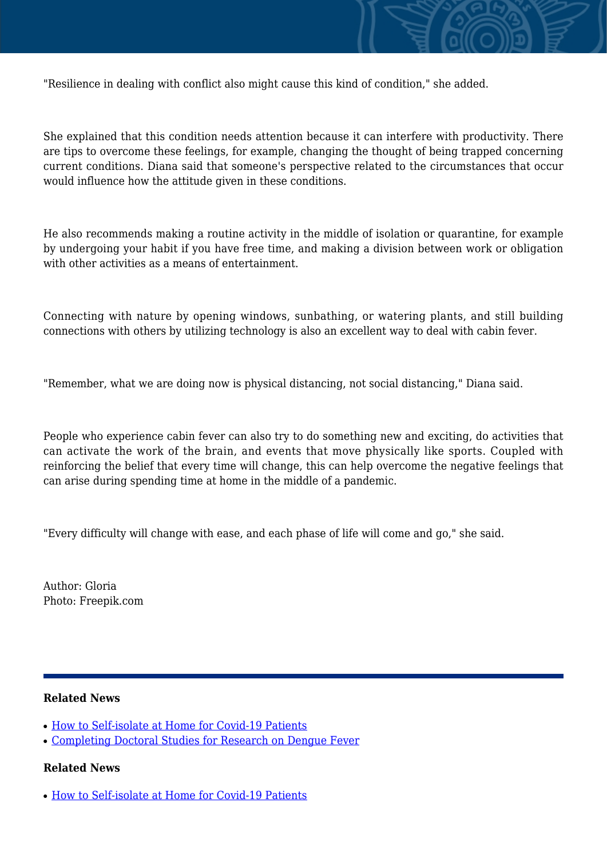

"Resilience in dealing with conflict also might cause this kind of condition," she added.

She explained that this condition needs attention because it can interfere with productivity. There are tips to overcome these feelings, for example, changing the thought of being trapped concerning current conditions. Diana said that someone's perspective related to the circumstances that occur would influence how the attitude given in these conditions.

He also recommends making a routine activity in the middle of isolation or quarantine, for example by undergoing your habit if you have free time, and making a division between work or obligation with other activities as a means of entertainment.

Connecting with nature by opening windows, sunbathing, or watering plants, and still building connections with others by utilizing technology is also an excellent way to deal with cabin fever.

"Remember, what we are doing now is physical distancing, not social distancing," Diana said.

People who experience cabin fever can also try to do something new and exciting, do activities that can activate the work of the brain, and events that move physically like sports. Coupled with reinforcing the belief that every time will change, this can help overcome the negative feelings that can arise during spending time at home in the middle of a pandemic.

"Every difficulty will change with ease, and each phase of life will come and go," she said.

Author: Gloria Photo: Freepik.com

## **Related News**

- [How to Self-isolate at Home for Covid-19 Patients](http://ugm.ac.id/www.ugm.ac.id//en/news/19424-wanagama-as-alternative-place-of-self-isolation-for-covid-19-s-patients)
- [Completing Doctoral Studies for Research on Dengue Fever](http://ugm.ac.id/www.ugm.ac.id//en/news/12302-biology-teachers-join-dna-isolation-training-at-ugm)

## **Related News**

• [How to Self-isolate at Home for Covid-19 Patients](http://ugm.ac.id/www.ugm.ac.id//en/news/19424-wanagama-as-alternative-place-of-self-isolation-for-covid-19-s-patients)